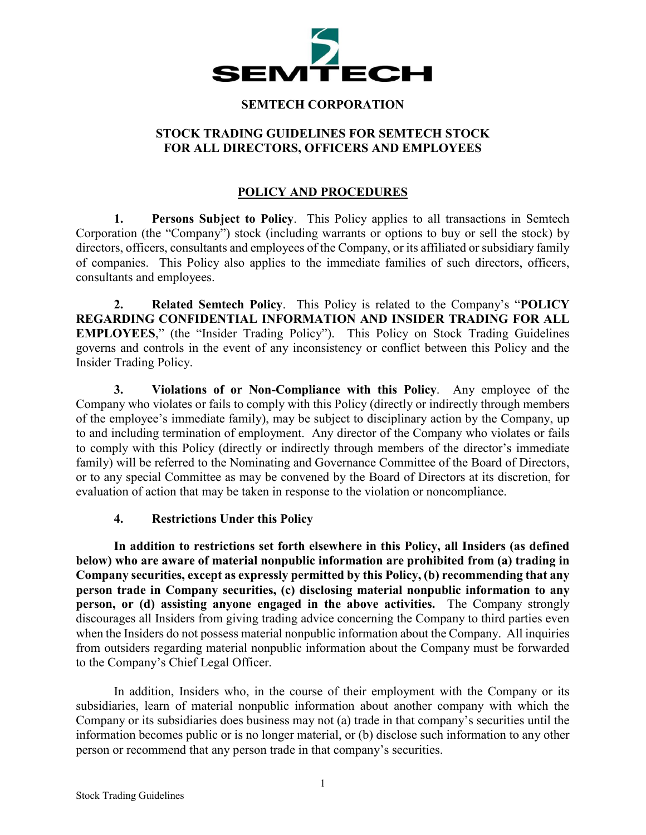

#### **SEMTECH CORPORATION**

#### **STOCK TRADING GUIDELINES FOR SEMTECH STOCK FOR ALL DIRECTORS, OFFICERS AND EMPLOYEES**

## **POLICY AND PROCEDURES**

**1. Persons Subject to Policy**. This Policy applies to all transactions in Semtech Corporation (the "Company") stock (including warrants or options to buy or sell the stock) by directors, officers, consultants and employees of the Company, or its affiliated or subsidiary family of companies. This Policy also applies to the immediate families of such directors, officers, consultants and employees.

**2. Related Semtech Policy**. This Policy is related to the Company's "**POLICY REGARDING CONFIDENTIAL INFORMATION AND INSIDER TRADING FOR ALL EMPLOYEES**," (the "Insider Trading Policy"). This Policy on Stock Trading Guidelines governs and controls in the event of any inconsistency or conflict between this Policy and the Insider Trading Policy.

**3. Violations of or Non-Compliance with this Policy**. Any employee of the Company who violates or fails to comply with this Policy (directly or indirectly through members of the employee's immediate family), may be subject to disciplinary action by the Company, up to and including termination of employment. Any director of the Company who violates or fails to comply with this Policy (directly or indirectly through members of the director's immediate family) will be referred to the Nominating and Governance Committee of the Board of Directors, or to any special Committee as may be convened by the Board of Directors at its discretion, for evaluation of action that may be taken in response to the violation or noncompliance.

#### **4. Restrictions Under this Policy**

**In addition to restrictions set forth elsewhere in this Policy, all Insiders (as defined below) who are aware of material nonpublic information are prohibited from (a) trading in Company securities, except as expressly permitted by this Policy, (b) recommending that any person trade in Company securities, (c) disclosing material nonpublic information to any person, or (d) assisting anyone engaged in the above activities.** The Company strongly discourages all Insiders from giving trading advice concerning the Company to third parties even when the Insiders do not possess material nonpublic information about the Company. All inquiries from outsiders regarding material nonpublic information about the Company must be forwarded to the Company's Chief Legal Officer.

In addition, Insiders who, in the course of their employment with the Company or its subsidiaries, learn of material nonpublic information about another company with which the Company or its subsidiaries does business may not (a) trade in that company's securities until the information becomes public or is no longer material, or (b) disclose such information to any other person or recommend that any person trade in that company's securities.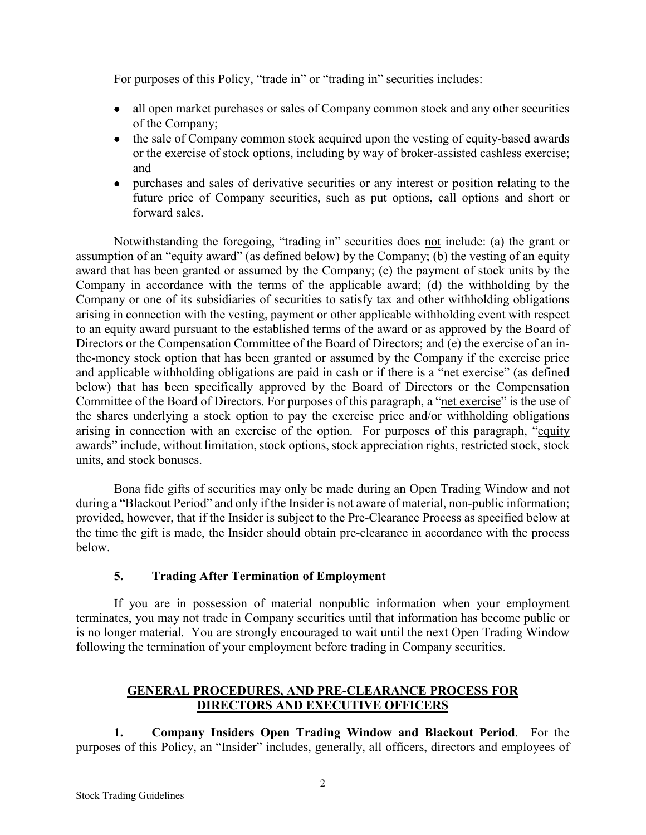For purposes of this Policy, "trade in" or "trading in" securities includes:

- all open market purchases or sales of Company common stock and any other securities of the Company;
- the sale of Company common stock acquired upon the vesting of equity-based awards or the exercise of stock options, including by way of broker-assisted cashless exercise; and
- purchases and sales of derivative securities or any interest or position relating to the future price of Company securities, such as put options, call options and short or forward sales.

Notwithstanding the foregoing, "trading in" securities does not include: (a) the grant or assumption of an "equity award" (as defined below) by the Company; (b) the vesting of an equity award that has been granted or assumed by the Company; (c) the payment of stock units by the Company in accordance with the terms of the applicable award; (d) the withholding by the Company or one of its subsidiaries of securities to satisfy tax and other withholding obligations arising in connection with the vesting, payment or other applicable withholding event with respect to an equity award pursuant to the established terms of the award or as approved by the Board of Directors or the Compensation Committee of the Board of Directors; and (e) the exercise of an inthe-money stock option that has been granted or assumed by the Company if the exercise price and applicable withholding obligations are paid in cash or if there is a "net exercise" (as defined below) that has been specifically approved by the Board of Directors or the Compensation Committee of the Board of Directors. For purposes of this paragraph, a "net exercise" is the use of the shares underlying a stock option to pay the exercise price and/or withholding obligations arising in connection with an exercise of the option. For purposes of this paragraph, "equity awards" include, without limitation, stock options, stock appreciation rights, restricted stock, stock units, and stock bonuses.

Bona fide gifts of securities may only be made during an Open Trading Window and not during a "Blackout Period" and only if the Insider is not aware of material, non-public information; provided, however, that if the Insider is subject to the Pre-Clearance Process as specified below at the time the gift is made, the Insider should obtain pre-clearance in accordance with the process below.

# **5. Trading After Termination of Employment**

If you are in possession of material nonpublic information when your employment terminates, you may not trade in Company securities until that information has become public or is no longer material. You are strongly encouraged to wait until the next Open Trading Window following the termination of your employment before trading in Company securities.

# **GENERAL PROCEDURES, AND PRE-CLEARANCE PROCESS FOR DIRECTORS AND EXECUTIVE OFFICERS**

**1. Company Insiders Open Trading Window and Blackout Period**. For the purposes of this Policy, an "Insider" includes, generally, all officers, directors and employees of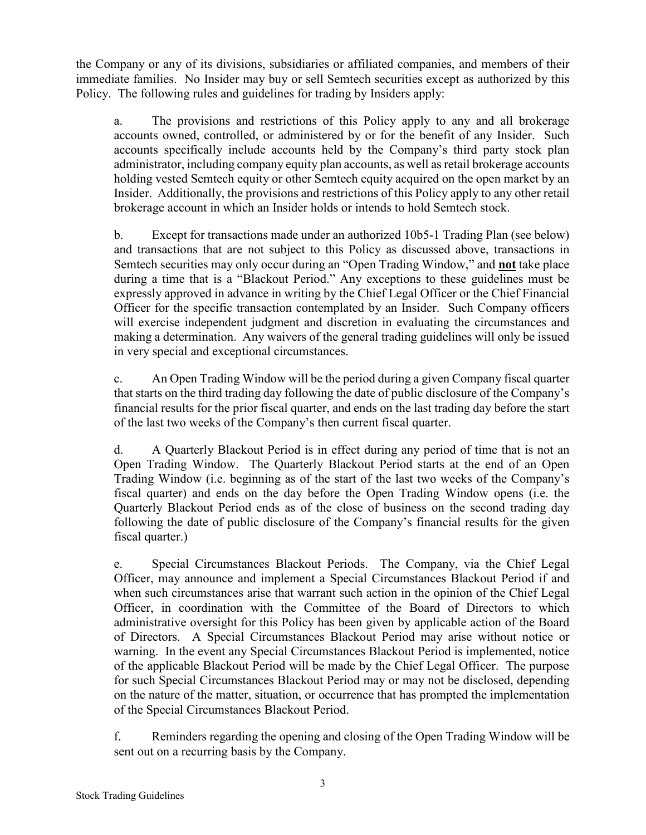the Company or any of its divisions, subsidiaries or affiliated companies, and members of their immediate families. No Insider may buy or sell Semtech securities except as authorized by this Policy. The following rules and guidelines for trading by Insiders apply:

a. The provisions and restrictions of this Policy apply to any and all brokerage accounts owned, controlled, or administered by or for the benefit of any Insider. Such accounts specifically include accounts held by the Company's third party stock plan administrator, including company equity plan accounts, as well as retail brokerage accounts holding vested Semtech equity or other Semtech equity acquired on the open market by an Insider. Additionally, the provisions and restrictions of this Policy apply to any other retail brokerage account in which an Insider holds or intends to hold Semtech stock.

b. Except for transactions made under an authorized 10b5-1 Trading Plan (see below) and transactions that are not subject to this Policy as discussed above, transactions in Semtech securities may only occur during an "Open Trading Window," and **not** take place during a time that is a "Blackout Period." Any exceptions to these guidelines must be expressly approved in advance in writing by the Chief Legal Officer or the Chief Financial Officer for the specific transaction contemplated by an Insider. Such Company officers will exercise independent judgment and discretion in evaluating the circumstances and making a determination. Any waivers of the general trading guidelines will only be issued in very special and exceptional circumstances.

c. An Open Trading Window will be the period during a given Company fiscal quarter that starts on the third trading day following the date of public disclosure of the Company's financial results for the prior fiscal quarter, and ends on the last trading day before the start of the last two weeks of the Company's then current fiscal quarter.

d. A Quarterly Blackout Period is in effect during any period of time that is not an Open Trading Window. The Quarterly Blackout Period starts at the end of an Open Trading Window (i.e. beginning as of the start of the last two weeks of the Company's fiscal quarter) and ends on the day before the Open Trading Window opens (i.e. the Quarterly Blackout Period ends as of the close of business on the second trading day following the date of public disclosure of the Company's financial results for the given fiscal quarter.)

e. Special Circumstances Blackout Periods. The Company, via the Chief Legal Officer, may announce and implement a Special Circumstances Blackout Period if and when such circumstances arise that warrant such action in the opinion of the Chief Legal Officer, in coordination with the Committee of the Board of Directors to which administrative oversight for this Policy has been given by applicable action of the Board of Directors. A Special Circumstances Blackout Period may arise without notice or warning. In the event any Special Circumstances Blackout Period is implemented, notice of the applicable Blackout Period will be made by the Chief Legal Officer. The purpose for such Special Circumstances Blackout Period may or may not be disclosed, depending on the nature of the matter, situation, or occurrence that has prompted the implementation of the Special Circumstances Blackout Period.

f. Reminders regarding the opening and closing of the Open Trading Window will be sent out on a recurring basis by the Company.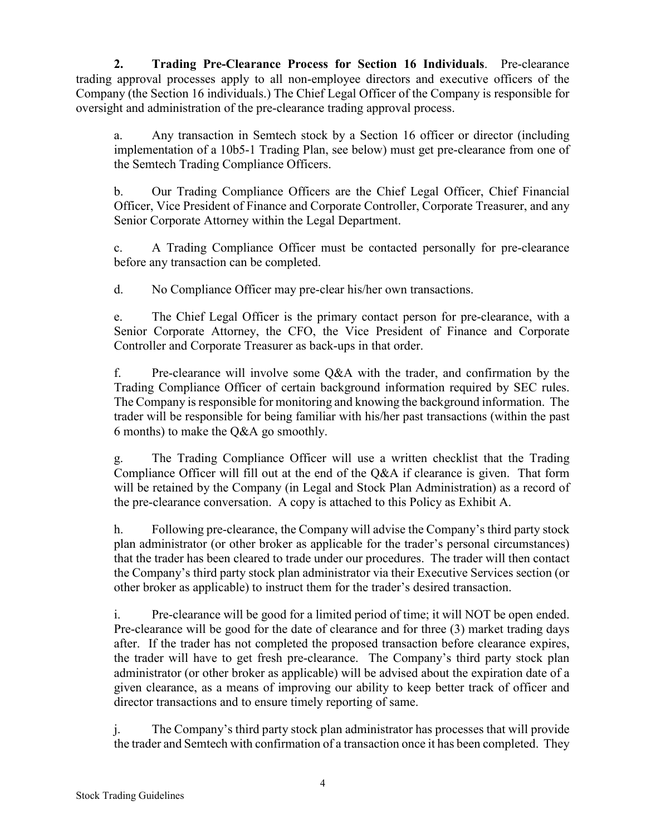**2. Trading Pre-Clearance Process for Section 16 Individuals**. Pre-clearance trading approval processes apply to all non-employee directors and executive officers of the Company (the Section 16 individuals.) The Chief Legal Officer of the Company is responsible for oversight and administration of the pre-clearance trading approval process.

a. Any transaction in Semtech stock by a Section 16 officer or director (including implementation of a 10b5-1 Trading Plan, see below) must get pre-clearance from one of the Semtech Trading Compliance Officers.

b. Our Trading Compliance Officers are the Chief Legal Officer, Chief Financial Officer, Vice President of Finance and Corporate Controller, Corporate Treasurer, and any Senior Corporate Attorney within the Legal Department.

c. A Trading Compliance Officer must be contacted personally for pre-clearance before any transaction can be completed.

d. No Compliance Officer may pre-clear his/her own transactions.

e. The Chief Legal Officer is the primary contact person for pre-clearance, with a Senior Corporate Attorney, the CFO, the Vice President of Finance and Corporate Controller and Corporate Treasurer as back-ups in that order.

f. Pre-clearance will involve some Q&A with the trader, and confirmation by the Trading Compliance Officer of certain background information required by SEC rules. The Company is responsible for monitoring and knowing the background information. The trader will be responsible for being familiar with his/her past transactions (within the past 6 months) to make the Q&A go smoothly.

g. The Trading Compliance Officer will use a written checklist that the Trading Compliance Officer will fill out at the end of the Q&A if clearance is given. That form will be retained by the Company (in Legal and Stock Plan Administration) as a record of the pre-clearance conversation. A copy is attached to this Policy as Exhibit A.

h. Following pre-clearance, the Company will advise the Company's third party stock plan administrator (or other broker as applicable for the trader's personal circumstances) that the trader has been cleared to trade under our procedures. The trader will then contact the Company's third party stock plan administrator via their Executive Services section (or other broker as applicable) to instruct them for the trader's desired transaction.

i. Pre-clearance will be good for a limited period of time; it will NOT be open ended. Pre-clearance will be good for the date of clearance and for three (3) market trading days after. If the trader has not completed the proposed transaction before clearance expires, the trader will have to get fresh pre-clearance. The Company's third party stock plan administrator (or other broker as applicable) will be advised about the expiration date of a given clearance, as a means of improving our ability to keep better track of officer and director transactions and to ensure timely reporting of same.

j. The Company's third party stock plan administrator has processes that will provide the trader and Semtech with confirmation of a transaction once it has been completed. They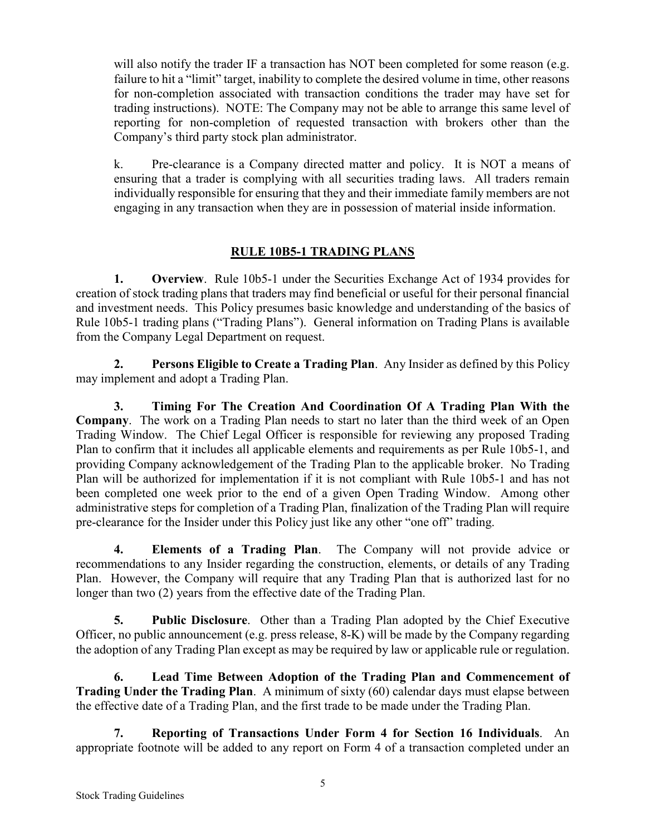will also notify the trader IF a transaction has NOT been completed for some reason (e.g. failure to hit a "limit" target, inability to complete the desired volume in time, other reasons for non-completion associated with transaction conditions the trader may have set for trading instructions). NOTE: The Company may not be able to arrange this same level of reporting for non-completion of requested transaction with brokers other than the Company's third party stock plan administrator.

k. Pre-clearance is a Company directed matter and policy. It is NOT a means of ensuring that a trader is complying with all securities trading laws. All traders remain individually responsible for ensuring that they and their immediate family members are not engaging in any transaction when they are in possession of material inside information.

# **RULE 10B5-1 TRADING PLANS**

**1. Overview**. Rule 10b5-1 under the Securities Exchange Act of 1934 provides for creation of stock trading plans that traders may find beneficial or useful for their personal financial and investment needs. This Policy presumes basic knowledge and understanding of the basics of Rule 10b5-1 trading plans ("Trading Plans"). General information on Trading Plans is available from the Company Legal Department on request.

**2. Persons Eligible to Create a Trading Plan**. Any Insider as defined by this Policy may implement and adopt a Trading Plan.

**3. Timing For The Creation And Coordination Of A Trading Plan With the Company**. The work on a Trading Plan needs to start no later than the third week of an Open Trading Window. The Chief Legal Officer is responsible for reviewing any proposed Trading Plan to confirm that it includes all applicable elements and requirements as per Rule 10b5-1, and providing Company acknowledgement of the Trading Plan to the applicable broker. No Trading Plan will be authorized for implementation if it is not compliant with Rule 10b5-1 and has not been completed one week prior to the end of a given Open Trading Window. Among other administrative steps for completion of a Trading Plan, finalization of the Trading Plan will require pre-clearance for the Insider under this Policy just like any other "one off" trading.

**4. Elements of a Trading Plan**. The Company will not provide advice or recommendations to any Insider regarding the construction, elements, or details of any Trading Plan. However, the Company will require that any Trading Plan that is authorized last for no longer than two (2) years from the effective date of the Trading Plan.

**5. Public Disclosure**. Other than a Trading Plan adopted by the Chief Executive Officer, no public announcement (e.g. press release, 8-K) will be made by the Company regarding the adoption of any Trading Plan except as may be required by law or applicable rule or regulation.

**6. Lead Time Between Adoption of the Trading Plan and Commencement of Trading Under the Trading Plan**. A minimum of sixty (60) calendar days must elapse between the effective date of a Trading Plan, and the first trade to be made under the Trading Plan.

**7. Reporting of Transactions Under Form 4 for Section 16 Individuals**. An appropriate footnote will be added to any report on Form 4 of a transaction completed under an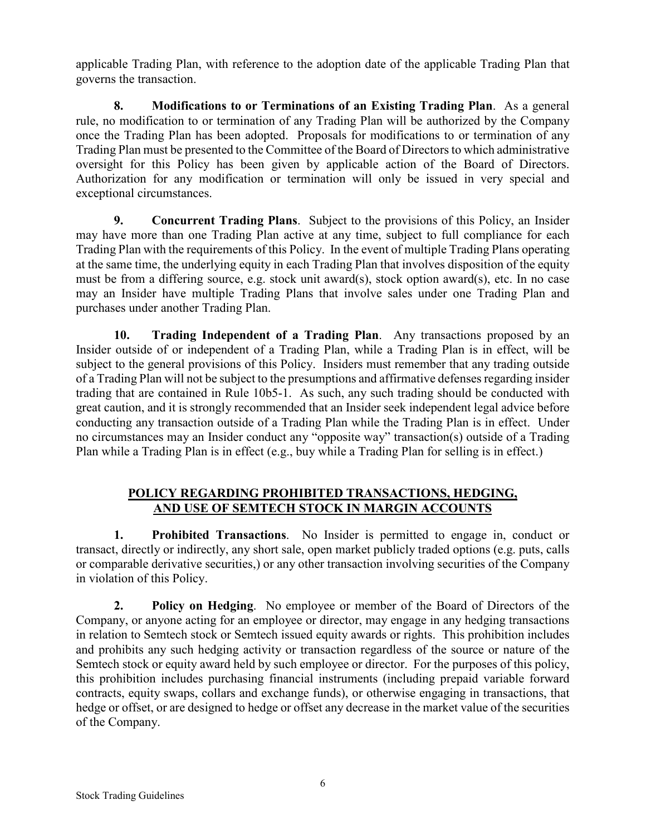applicable Trading Plan, with reference to the adoption date of the applicable Trading Plan that governs the transaction.

**8. Modifications to or Terminations of an Existing Trading Plan**. As a general rule, no modification to or termination of any Trading Plan will be authorized by the Company once the Trading Plan has been adopted. Proposals for modifications to or termination of any Trading Plan must be presented to the Committee of the Board of Directors to which administrative oversight for this Policy has been given by applicable action of the Board of Directors. Authorization for any modification or termination will only be issued in very special and exceptional circumstances.

**9. Concurrent Trading Plans**. Subject to the provisions of this Policy, an Insider may have more than one Trading Plan active at any time, subject to full compliance for each Trading Plan with the requirements of this Policy. In the event of multiple Trading Plans operating at the same time, the underlying equity in each Trading Plan that involves disposition of the equity must be from a differing source, e.g. stock unit award(s), stock option award(s), etc. In no case may an Insider have multiple Trading Plans that involve sales under one Trading Plan and purchases under another Trading Plan.

**10. Trading Independent of a Trading Plan**. Any transactions proposed by an Insider outside of or independent of a Trading Plan, while a Trading Plan is in effect, will be subject to the general provisions of this Policy. Insiders must remember that any trading outside of a Trading Plan will not be subject to the presumptions and affirmative defenses regarding insider trading that are contained in Rule 10b5-1. As such, any such trading should be conducted with great caution, and it is strongly recommended that an Insider seek independent legal advice before conducting any transaction outside of a Trading Plan while the Trading Plan is in effect. Under no circumstances may an Insider conduct any "opposite way" transaction(s) outside of a Trading Plan while a Trading Plan is in effect (e.g., buy while a Trading Plan for selling is in effect.)

# **POLICY REGARDING PROHIBITED TRANSACTIONS, HEDGING, AND USE OF SEMTECH STOCK IN MARGIN ACCOUNTS**

**1. Prohibited Transactions**. No Insider is permitted to engage in, conduct or transact, directly or indirectly, any short sale, open market publicly traded options (e.g. puts, calls or comparable derivative securities,) or any other transaction involving securities of the Company in violation of this Policy.

**2. Policy on Hedging**. No employee or member of the Board of Directors of the Company, or anyone acting for an employee or director, may engage in any hedging transactions in relation to Semtech stock or Semtech issued equity awards or rights. This prohibition includes and prohibits any such hedging activity or transaction regardless of the source or nature of the Semtech stock or equity award held by such employee or director. For the purposes of this policy, this prohibition includes purchasing financial instruments (including prepaid variable forward contracts, equity swaps, collars and exchange funds), or otherwise engaging in transactions, that hedge or offset, or are designed to hedge or offset any decrease in the market value of the securities of the Company.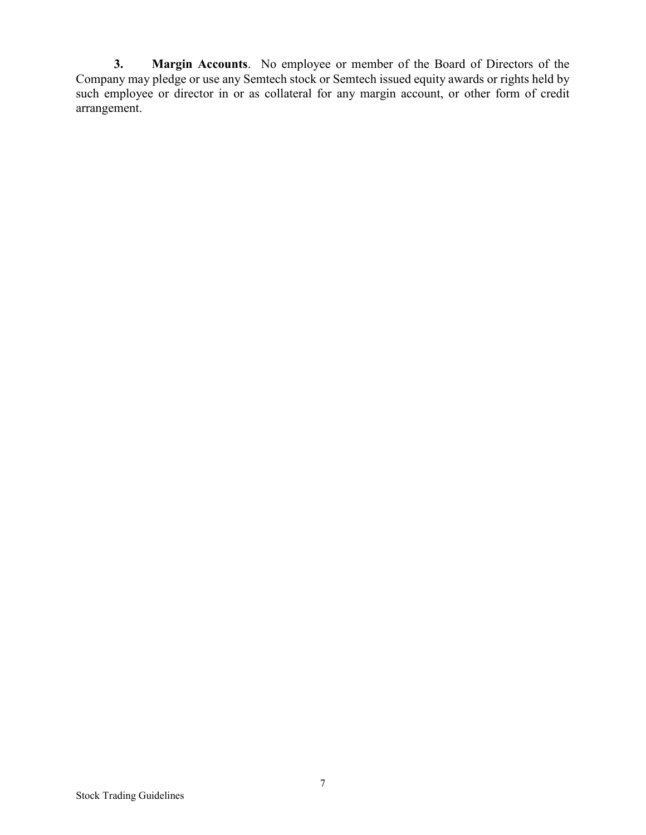**3. Margin Accounts**. No employee or member of the Board of Directors of the Company may pledge or use any Semtech stock or Semtech issued equity awards or rights held by such employee or director in or as collateral for any margin account, or other form of credit arrangement.